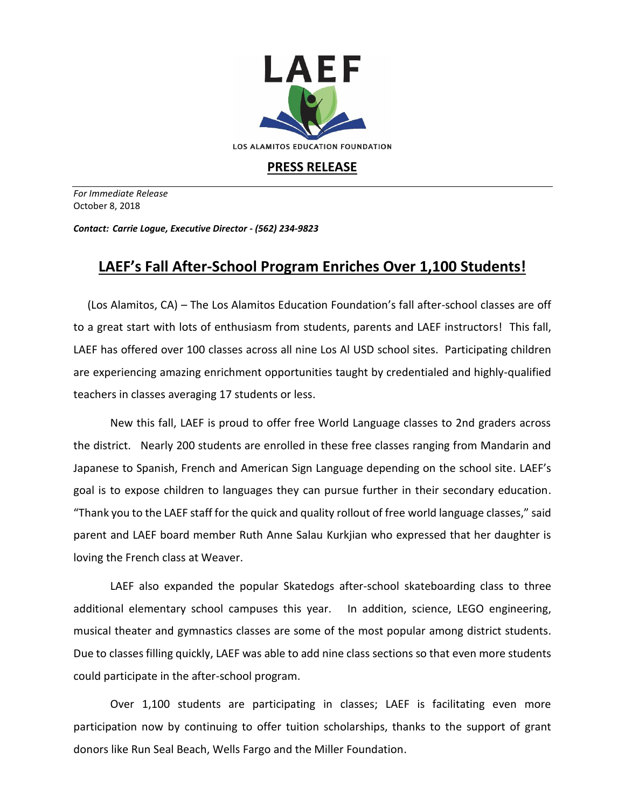

## **PRESS RELEASE**

*For Immediate Release*  October 8, 2018

*Contact: Carrie Logue, Executive Director - (562) 234-9823*

## **LAEF's Fall After-School Program Enriches Over 1,100 Students!**

 (Los Alamitos, CA) – The Los Alamitos Education Foundation's fall after-school classes are off to a great start with lots of enthusiasm from students, parents and LAEF instructors! This fall, LAEF has offered over 100 classes across all nine Los Al USD school sites. Participating children are experiencing amazing enrichment opportunities taught by credentialed and highly-qualified teachers in classes averaging 17 students or less.

New this fall, LAEF is proud to offer free World Language classes to 2nd graders across the district. Nearly 200 students are enrolled in these free classes ranging from Mandarin and Japanese to Spanish, French and American Sign Language depending on the school site. LAEF's goal is to expose children to languages they can pursue further in their secondary education. "Thank you to the LAEF staff for the quick and quality rollout of free world language classes," said parent and LAEF board member Ruth Anne Salau Kurkjian who expressed that her daughter is loving the French class at Weaver.

LAEF also expanded the popular Skatedogs after-school skateboarding class to three additional elementary school campuses this year. In addition, science, LEGO engineering, musical theater and gymnastics classes are some of the most popular among district students. Due to classes filling quickly, LAEF was able to add nine class sections so that even more students could participate in the after-school program.

Over 1,100 students are participating in classes; LAEF is facilitating even more participation now by continuing to offer tuition scholarships, thanks to the support of grant donors like Run Seal Beach, Wells Fargo and the Miller Foundation.